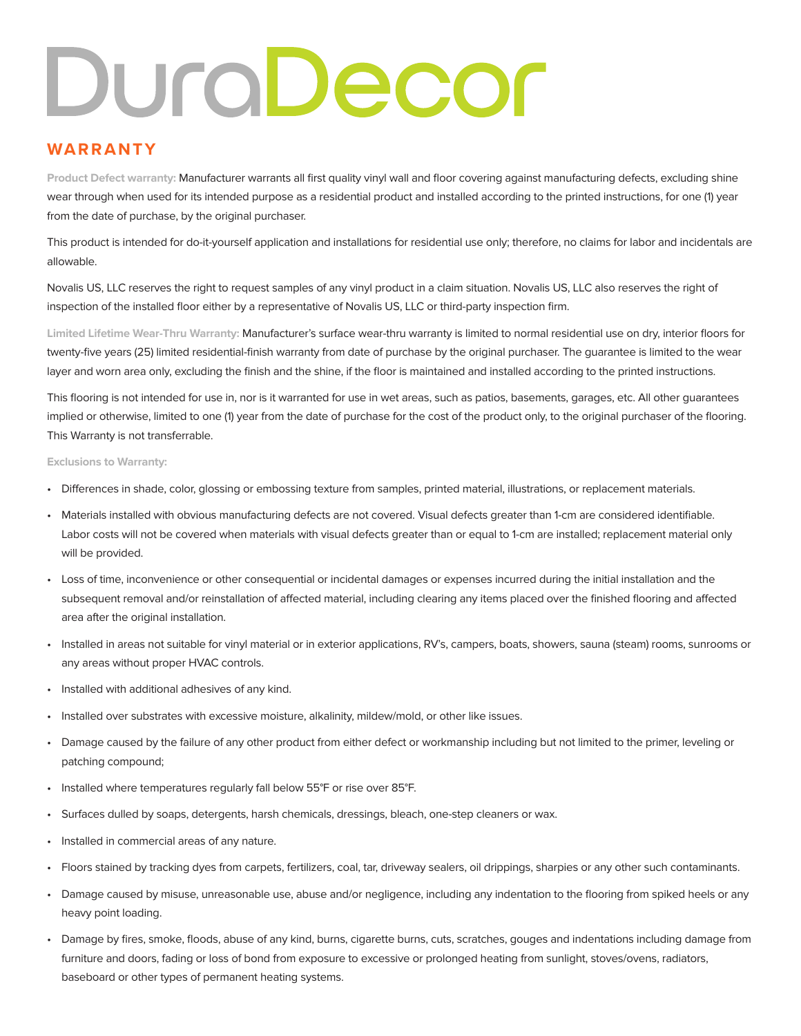## DuraDecor

## **WARRANTY**

**Product Defect warranty:** Manufacturer warrants all first quality vinyl wall and floor covering against manufacturing defects, excluding shine wear through when used for its intended purpose as a residential product and installed according to the printed instructions, for one (1) year from the date of purchase, by the original purchaser.

This product is intended for do-it-yourself application and installations for residential use only; therefore, no claims for labor and incidentals are allowable.

Novalis US, LLC reserves the right to request samples of any vinyl product in a claim situation. Novalis US, LLC also reserves the right of inspection of the installed floor either by a representative of Novalis US, LLC or third-party inspection firm.

**Limited Lifetime Wear-Thru Warranty:** Manufacturer's surface wear-thru warranty is limited to normal residential use on dry, interior floors for twenty-five years (25) limited residential-finish warranty from date of purchase by the original purchaser. The guarantee is limited to the wear layer and worn area only, excluding the finish and the shine, if the floor is maintained and installed according to the printed instructions.

This flooring is not intended for use in, nor is it warranted for use in wet areas, such as patios, basements, garages, etc. All other guarantees implied or otherwise, limited to one (1) year from the date of purchase for the cost of the product only, to the original purchaser of the flooring. This Warranty is not transferrable.

## **Exclusions to Warranty:**

- Differences in shade, color, glossing or embossing texture from samples, printed material, illustrations, or replacement materials.
- Materials installed with obvious manufacturing defects are not covered. Visual defects greater than 1-cm are considered identifiable. Labor costs will not be covered when materials with visual defects greater than or equal to 1-cm are installed; replacement material only will be provided.
- Loss of time, inconvenience or other consequential or incidental damages or expenses incurred during the initial installation and the subsequent removal and/or reinstallation of affected material, including clearing any items placed over the finished flooring and affected area after the original installation.
- Installed in areas not suitable for vinyl material or in exterior applications, RV's, campers, boats, showers, sauna (steam) rooms, sunrooms or any areas without proper HVAC controls.
- Installed with additional adhesives of any kind.
- Installed over substrates with excessive moisture, alkalinity, mildew/mold, or other like issues.
- Damage caused by the failure of any other product from either defect or workmanship including but not limited to the primer, leveling or patching compound;
- Installed where temperatures regularly fall below 55°F or rise over 85°F.
- Surfaces dulled by soaps, detergents, harsh chemicals, dressings, bleach, one-step cleaners or wax.
- Installed in commercial areas of any nature.
- Floors stained by tracking dyes from carpets, fertilizers, coal, tar, driveway sealers, oil drippings, sharpies or any other such contaminants.
- Damage caused by misuse, unreasonable use, abuse and/or negligence, including any indentation to the flooring from spiked heels or any heavy point loading.
- Damage by fires, smoke, floods, abuse of any kind, burns, cigarette burns, cuts, scratches, gouges and indentations including damage from furniture and doors, fading or loss of bond from exposure to excessive or prolonged heating from sunlight, stoves/ovens, radiators, baseboard or other types of permanent heating systems.